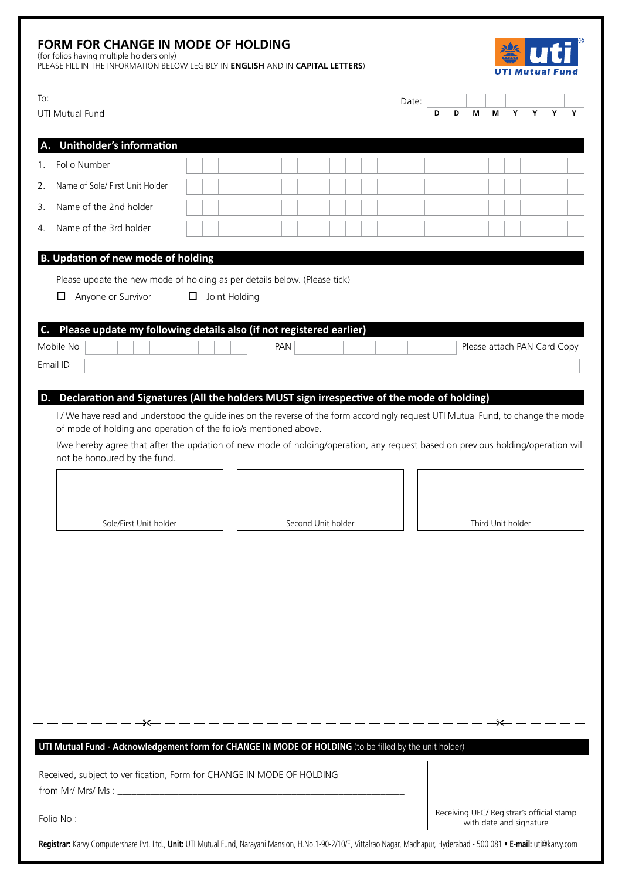| <b>FORM FOR CHANGE IN MODE OF HOLDING</b><br>(for folios having multiple holders only)<br>PLEASE FILL IN THE INFORMATION BELOW LEGIBLY IN ENGLISH AND IN CAPITAL LETTERS) |                                                                                                                                                                                                                                                                                                                                                                                                   |   |               |  |     |                    |                                                                      |  |  |  |       |   |   |   |   |                             |   |  |  |
|---------------------------------------------------------------------------------------------------------------------------------------------------------------------------|---------------------------------------------------------------------------------------------------------------------------------------------------------------------------------------------------------------------------------------------------------------------------------------------------------------------------------------------------------------------------------------------------|---|---------------|--|-----|--------------------|----------------------------------------------------------------------|--|--|--|-------|---|---|---|---|-----------------------------|---|--|--|
| To:                                                                                                                                                                       | UTI Mutual Fund                                                                                                                                                                                                                                                                                                                                                                                   |   |               |  |     |                    |                                                                      |  |  |  | Date: | D | D | М | м | Υ                           | Y |  |  |
|                                                                                                                                                                           | <b>Unitholder's information</b>                                                                                                                                                                                                                                                                                                                                                                   |   |               |  |     |                    |                                                                      |  |  |  |       |   |   |   |   |                             |   |  |  |
| 1.                                                                                                                                                                        | Folio Number                                                                                                                                                                                                                                                                                                                                                                                      |   |               |  |     |                    |                                                                      |  |  |  |       |   |   |   |   |                             |   |  |  |
| 2.                                                                                                                                                                        | Name of Sole/ First Unit Holder                                                                                                                                                                                                                                                                                                                                                                   |   |               |  |     |                    |                                                                      |  |  |  |       |   |   |   |   |                             |   |  |  |
| 3.                                                                                                                                                                        | Name of the 2nd holder                                                                                                                                                                                                                                                                                                                                                                            |   |               |  |     |                    |                                                                      |  |  |  |       |   |   |   |   |                             |   |  |  |
| 4.                                                                                                                                                                        | Name of the 3rd holder                                                                                                                                                                                                                                                                                                                                                                            |   |               |  |     |                    |                                                                      |  |  |  |       |   |   |   |   |                             |   |  |  |
|                                                                                                                                                                           | <b>B. Updation of new mode of holding</b>                                                                                                                                                                                                                                                                                                                                                         |   |               |  |     |                    |                                                                      |  |  |  |       |   |   |   |   |                             |   |  |  |
|                                                                                                                                                                           | Please update the new mode of holding as per details below. (Please tick)<br>0.<br>Anyone or Survivor                                                                                                                                                                                                                                                                                             | 0 | Joint Holding |  |     |                    |                                                                      |  |  |  |       |   |   |   |   |                             |   |  |  |
| C.                                                                                                                                                                        | Please update my following details also (if not registered earlier)<br>Mobile No<br>Email ID                                                                                                                                                                                                                                                                                                      |   |               |  | PAN |                    |                                                                      |  |  |  |       |   |   |   |   | Please attach PAN Card Copy |   |  |  |
|                                                                                                                                                                           | I/We have read and understood the guidelines on the reverse of the form accordingly request UTI Mutual Fund, to change the mode<br>of mode of holding and operation of the folio/s mentioned above.<br>I/we hereby agree that after the updation of new mode of holding/operation, any request based on previous holding/operation will<br>not be honoured by the fund.<br>Sole/First Unit holder |   |               |  |     | Second Unit holder |                                                                      |  |  |  |       |   |   |   |   | Third Unit holder<br>- — ≫  |   |  |  |
|                                                                                                                                                                           | UTI Mutual Fund - Acknowledgement form for CHANGE IN MODE OF HOLDING (to be filled by the unit holder)                                                                                                                                                                                                                                                                                            |   |               |  |     |                    |                                                                      |  |  |  |       |   |   |   |   |                             |   |  |  |
| Received, subject to verification, Form for CHANGE IN MODE OF HOLDING                                                                                                     |                                                                                                                                                                                                                                                                                                                                                                                                   |   |               |  |     |                    |                                                                      |  |  |  |       |   |   |   |   |                             |   |  |  |
|                                                                                                                                                                           |                                                                                                                                                                                                                                                                                                                                                                                                   |   |               |  |     |                    | Receiving UFC/ Registrar's official stamp<br>with date and signature |  |  |  |       |   |   |   |   |                             |   |  |  |
|                                                                                                                                                                           | Registrar: Karvy Computershare Pvt. Ltd., Unit: UTI Mutual Fund, Narayani Mansion, H.No.1-90-2/10/E, Vittalrao Nagar, Madhapur, Hyderabad - 500 081 . E-mail: uti@karvy.com                                                                                                                                                                                                                       |   |               |  |     |                    |                                                                      |  |  |  |       |   |   |   |   |                             |   |  |  |
|                                                                                                                                                                           |                                                                                                                                                                                                                                                                                                                                                                                                   |   |               |  |     |                    |                                                                      |  |  |  |       |   |   |   |   |                             |   |  |  |